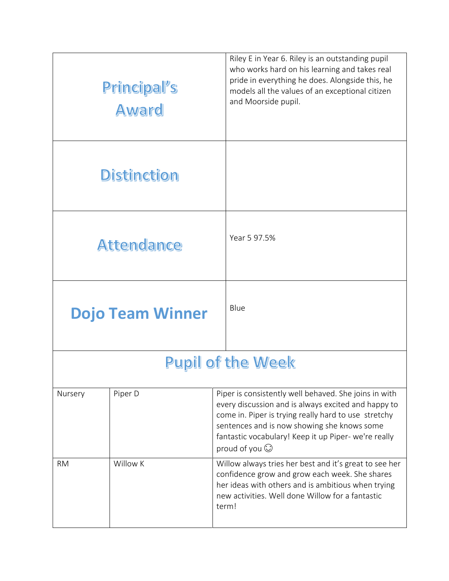|                          | Principal's<br>Award    | Riley E in Year 6. Riley is an outstanding pupil<br>who works hard on his learning and takes real<br>pride in everything he does. Alongside this, he<br>models all the values of an exceptional citizen<br>and Moorside pupil.                                                                      |  |  |
|--------------------------|-------------------------|-----------------------------------------------------------------------------------------------------------------------------------------------------------------------------------------------------------------------------------------------------------------------------------------------------|--|--|
|                          | <b>Distinction</b>      |                                                                                                                                                                                                                                                                                                     |  |  |
|                          | <b>Attendance</b>       | Year 5 97.5%                                                                                                                                                                                                                                                                                        |  |  |
|                          | <b>Dojo Team Winner</b> | Blue                                                                                                                                                                                                                                                                                                |  |  |
| <b>Pupil of the Week</b> |                         |                                                                                                                                                                                                                                                                                                     |  |  |
| Nursery                  | Piper D                 | Piper is consistently well behaved. She joins in with<br>every discussion and is always excited and happy to<br>come in. Piper is trying really hard to use stretchy<br>sentences and is now showing she knows some<br>fantastic vocabulary! Keep it up Piper- we're really<br>proud of you $\odot$ |  |  |
| <b>RM</b>                | Willow K                | Willow always tries her best and it's great to see her<br>confidence grow and grow each week. She shares<br>her ideas with others and is ambitious when trying<br>new activities. Well done Willow for a fantastic<br>term!                                                                         |  |  |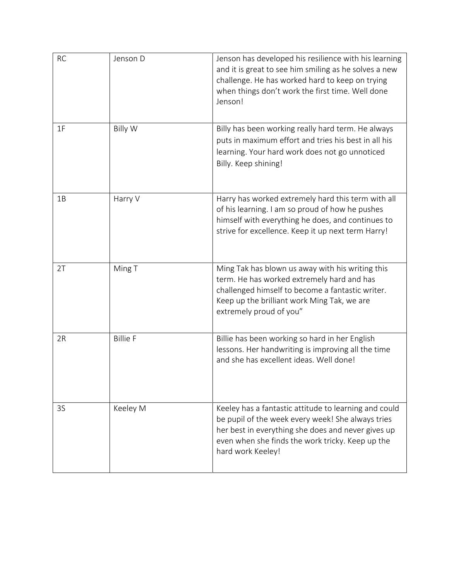| <b>RC</b> | Jenson D        | Jenson has developed his resilience with his learning<br>and it is great to see him smiling as he solves a new<br>challenge. He has worked hard to keep on trying<br>when things don't work the first time. Well done<br>Jenson!          |
|-----------|-----------------|-------------------------------------------------------------------------------------------------------------------------------------------------------------------------------------------------------------------------------------------|
| 1F        | <b>Billy W</b>  | Billy has been working really hard term. He always<br>puts in maximum effort and tries his best in all his<br>learning. Your hard work does not go unnoticed<br>Billy. Keep shining!                                                      |
| 1B        | Harry V         | Harry has worked extremely hard this term with all<br>of his learning. I am so proud of how he pushes<br>himself with everything he does, and continues to<br>strive for excellence. Keep it up next term Harry!                          |
| 2T        | Ming T          | Ming Tak has blown us away with his writing this<br>term. He has worked extremely hard and has<br>challenged himself to become a fantastic writer.<br>Keep up the brilliant work Ming Tak, we are<br>extremely proud of you"              |
| 2R        | <b>Billie F</b> | Billie has been working so hard in her English<br>lessons. Her handwriting is improving all the time<br>and she has excellent ideas. Well done!                                                                                           |
| 3S        | Keeley M        | Keeley has a fantastic attitude to learning and could<br>be pupil of the week every week! She always tries<br>her best in everything she does and never gives up<br>even when she finds the work tricky. Keep up the<br>hard work Keeley! |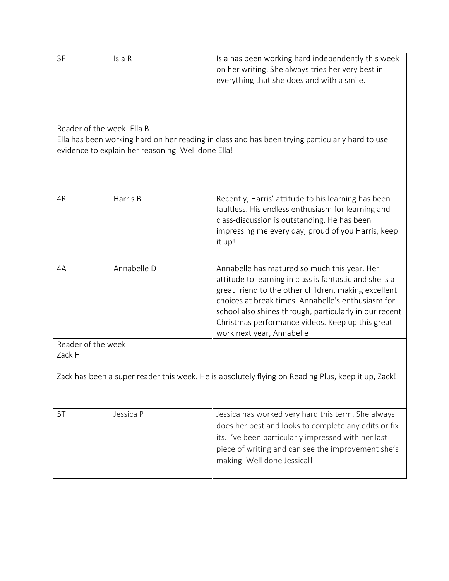| 3F                                                                                                                                                                                  | Isla R      | Isla has been working hard independently this week<br>on her writing. She always tries her very best in<br>everything that she does and with a smile.                                                                                                                                                                                                             |  |  |  |
|-------------------------------------------------------------------------------------------------------------------------------------------------------------------------------------|-------------|-------------------------------------------------------------------------------------------------------------------------------------------------------------------------------------------------------------------------------------------------------------------------------------------------------------------------------------------------------------------|--|--|--|
| Reader of the week: Ella B<br>Ella has been working hard on her reading in class and has been trying particularly hard to use<br>evidence to explain her reasoning. Well done Ella! |             |                                                                                                                                                                                                                                                                                                                                                                   |  |  |  |
| 4R                                                                                                                                                                                  | Harris B    | Recently, Harris' attitude to his learning has been<br>faultless. His endless enthusiasm for learning and<br>class-discussion is outstanding. He has been<br>impressing me every day, proud of you Harris, keep<br>it up!                                                                                                                                         |  |  |  |
| 4A                                                                                                                                                                                  | Annabelle D | Annabelle has matured so much this year. Her<br>attitude to learning in class is fantastic and she is a<br>great friend to the other children, making excellent<br>choices at break times. Annabelle's enthusiasm for<br>school also shines through, particularly in our recent<br>Christmas performance videos. Keep up this great<br>work next year, Annabelle! |  |  |  |
| Reader of the week:<br>Zack H                                                                                                                                                       |             |                                                                                                                                                                                                                                                                                                                                                                   |  |  |  |
| Zack has been a super reader this week. He is absolutely flying on Reading Plus, keep it up, Zack!                                                                                  |             |                                                                                                                                                                                                                                                                                                                                                                   |  |  |  |
| 5T                                                                                                                                                                                  | Jessica P   | Jessica has worked very hard this term. She always<br>does her best and looks to complete any edits or fix<br>its. I've been particularly impressed with her last<br>piece of writing and can see the improvement she's<br>making. Well done Jessical!                                                                                                            |  |  |  |